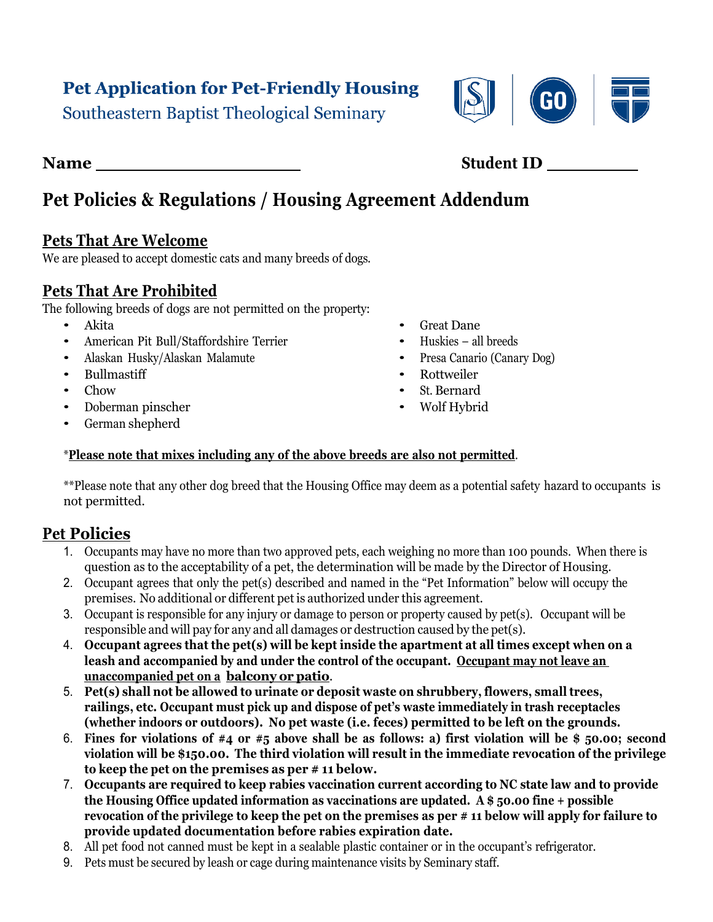# **Pet Application for Pet-Friendly Housing**

Southeastern Baptist Theological Seminary

# **Pet Policies & Regulations / Housing Agreement Addendum**

### **Pets That Are Welcome**

We are pleased to accept domestic cats and many breeds of dogs.

### **Pets That Are Prohibited**

The following breeds of dogs are not permitted on the property:

- Akita
- American Pit Bull/Staffordshire Terrier
- Alaskan Husky/Alaskan Malamute
- Bullmastiff
- Chow
- Doberman pinscher
- German shepherd
- Great Dane
- Huskies all breeds
- Presa Canario (Canary Dog)
- Rottweiler
- St. Bernard
- Wolf Hybrid

#### \***Please note that mixes including any of the above breeds are also not permitted**.

\*\*Please note that any other dog breed that the Housing Office may deem as a potential safety hazard to occupants is not permitted.

# **Pet Policies**

- 1. Occupants may have no more than two approved pets, each weighing no more than 100 pounds. When there is question as to the acceptability of a pet, the determination will be made by the Director of Housing.
- 2. Occupant agrees that only the pet(s) described and named in the "Pet Information" below will occupy the premises. No additional or different pet is authorized under this agreement.
- 3. Occupant is responsible for any injury or damage to person or property caused by pet(s). Occupant will be responsible and will pay for any and all damages or destruction caused by the pet(s).
- 4. **Occupant agrees that the pet(s) will be kept inside the apartment at all times except when on a leash and accompanied by and under the control of the occupant. Occupant may not leave an unaccompanied pet on a balcony or patio**.
- 5. **Pet(s) shall not be allowed to urinate or deposit waste on shrubbery, flowers, small trees, railings, etc. Occupant must pick up and dispose of pet's waste immediately in trash receptacles (whether indoors or outdoors). No pet waste (i.e. feces) permitted to be left on the grounds.**
- 6. **Fines for violations of #4 or #5 above shall be as follows: a) first violation will be \$ 50.00; second violation will be \$150.00. The third violation will result in the immediate revocation of the privilege to keep the pet on the premises as per # 11 below.**
- 7. **Occupants are required to keep rabies vaccination current according to NC state law and to provide the Housing Office updated information as vaccinations are updated. A \$ 50.00 fine + possible revocation of the privilege to keep the pet on the premises as per # 11 below will apply for failure to provide updated documentation before rabies expiration date.**
- 8. All pet food not canned must be kept in a sealable plastic container or in the occupant's refrigerator.
- 9. Pets must be secured by leash or cage during maintenance visits by Seminary staff.